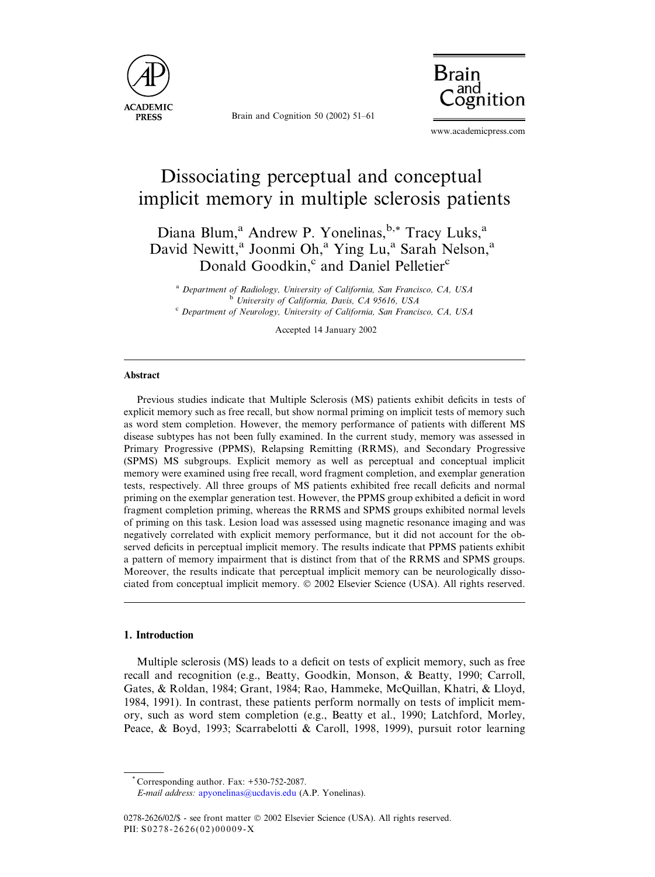

Brain and Cognition 50 (2002) 51–61



www.academicpress.com

## Dissociating perceptual and conceptual implicit memory in multiple sclerosis patients

Diana Blum,<sup>a</sup> Andrew P. Yonelinas,<sup>b,\*</sup> Tracy Luks,<sup>a</sup> David Newitt,<sup>a</sup> Joonmi Oh,<sup>a</sup> Ying Lu,<sup>a</sup> Sarah Nelson,<sup>a</sup> Donald Goodkin,<sup>c</sup> and Daniel Pelletier<sup>c</sup>

<sup>a</sup> Department of Radiology, University of California, San Francisco, CA, USA <sup>b</sup> University of California, Davis, CA 95616, USA <sup>c</sup> Department of Neurology, University of California, San Francisco, CA, USA

Accepted 14 January 2002

## Abstract

Previous studies indicate that Multiple Sclerosis (MS) patients exhibit deficits in tests of explicit memory such as free recall, but show normal priming on implicit tests of memory such as word stem completion. However, the memory performance of patients with different MS disease subtypes has not been fully examined. In the current study, memory was assessed in Primary Progressive (PPMS), Relapsing Remitting (RRMS), and Secondary Progressive (SPMS) MS subgroups. Explicit memory as well as perceptual and conceptual implicit memory were examined using free recall, word fragment completion, and exemplar generation tests, respectively. All three groups of MS patients exhibited free recall deficits and normal priming on the exemplar generation test. However, the PPMS group exhibited a deficit in word fragment completion priming, whereas the RRMS and SPMS groups exhibited normal levels of priming on this task. Lesion load was assessed using magnetic resonance imaging and was negatively correlated with explicit memory performance, but it did not account for the observed deficits in perceptual implicit memory. The results indicate that PPMS patients exhibit a pattern of memory impairment that is distinct from that of the RRMS and SPMS groups. Moreover, the results indicate that perceptual implicit memory can be neurologically dissociated from conceptual implicit memory.  $\odot$  2002 Elsevier Science (USA). All rights reserved.

## 1. Introduction

Multiple sclerosis (MS) leads to a deficit on tests of explicit memory, such as free recall and recognition (e.g., Beatty, Goodkin, Monson, & Beatty, 1990; Carroll, Gates, & Roldan, 1984; Grant, 1984; Rao, Hammeke, McQuillan, Khatri, & Lloyd, 1984, 1991). In contrast, these patients perform normally on tests of implicit memory, such as word stem completion (e.g., Beatty et al., 1990; Latchford, Morley, Peace, & Boyd, 1993; Scarrabelotti & Caroll, 1998, 1999), pursuit rotor learning

<sup>\*</sup> Corresponding author. Fax: +530-752-2087. E-mail address: [apyonelinas@ucdavis.edu](mail to: apyonelinas@ucdavis.edu) (A.P. Yonelinas).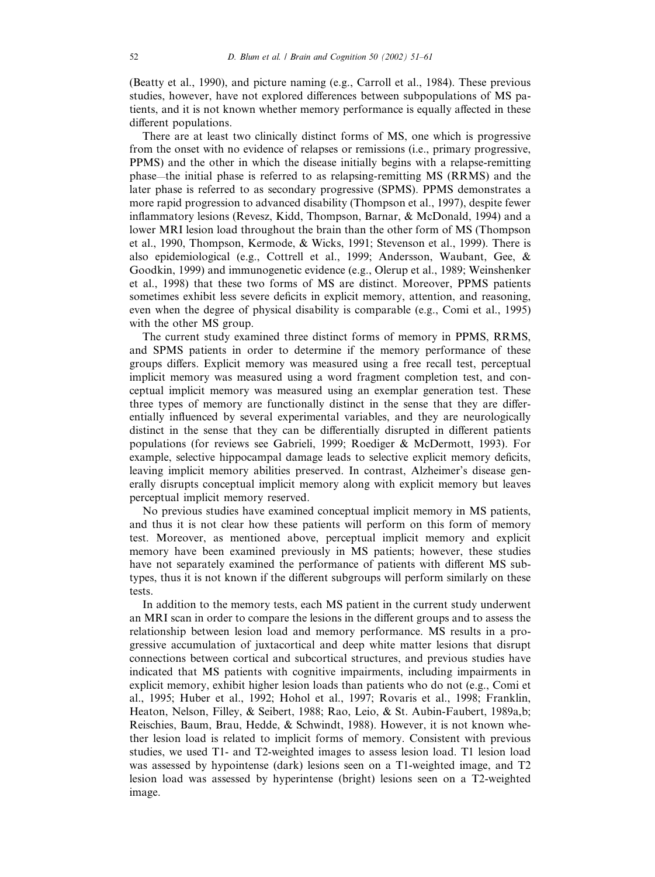(Beatty et al., 1990), and picture naming (e.g., Carroll et al., 1984). These previous studies, however, have not explored differences between subpopulations of MS patients, and it is not known whether memory performance is equally affected in these different populations.

There are at least two clinically distinct forms of MS, one which is progressive from the onset with no evidence of relapses or remissions (i.e., primary progressive, PPMS) and the other in which the disease initially begins with a relapse-remitting phase—the initial phase is referred to as relapsing-remitting MS (RRMS) and the later phase is referred to as secondary progressive (SPMS). PPMS demonstrates a more rapid progression to advanced disability (Thompson et al., 1997), despite fewer inflammatory lesions (Revesz, Kidd, Thompson, Barnar, & McDonald, 1994) and a lower MRI lesion load throughout the brain than the other form of MS (Thompson et al., 1990, Thompson, Kermode, & Wicks, 1991; Stevenson et al., 1999). There is also epidemiological (e.g., Cottrell et al., 1999; Andersson, Waubant, Gee, & Goodkin, 1999) and immunogenetic evidence (e.g., Olerup et al., 1989; Weinshenker et al., 1998) that these two forms of MS are distinct. Moreover, PPMS patients sometimes exhibit less severe deficits in explicit memory, attention, and reasoning, even when the degree of physical disability is comparable (e.g., Comi et al., 1995) with the other MS group.

The current study examined three distinct forms of memory in PPMS, RRMS, and SPMS patients in order to determine if the memory performance of these groups differs. Explicit memory was measured using a free recall test, perceptual implicit memory was measured using a word fragment completion test, and conceptual implicit memory was measured using an exemplar generation test. These three types of memory are functionally distinct in the sense that they are differentially influenced by several experimental variables, and they are neurologically distinct in the sense that they can be differentially disrupted in different patients populations (for reviews see Gabrieli, 1999; Roediger & McDermott, 1993). For example, selective hippocampal damage leads to selective explicit memory deficits, leaving implicit memory abilities preserved. In contrast, Alzheimer's disease generally disrupts conceptual implicit memory along with explicit memory but leaves perceptual implicit memory reserved.

No previous studies have examined conceptual implicit memory in MS patients, and thus it is not clear how these patients will perform on this form of memory test. Moreover, as mentioned above, perceptual implicit memory and explicit memory have been examined previously in MS patients; however, these studies have not separately examined the performance of patients with different MS subtypes, thus it is not known if the different subgroups will perform similarly on these tests.

In addition to the memory tests, each MS patient in the current study underwent an MRI scan in order to compare the lesions in the different groups and to assess the relationship between lesion load and memory performance. MS results in a progressive accumulation of juxtacortical and deep white matter lesions that disrupt connections between cortical and subcortical structures, and previous studies have indicated that MS patients with cognitive impairments, including impairments in explicit memory, exhibit higher lesion loads than patients who do not (e.g., Comi et al., 1995; Huber et al., 1992; Hohol et al., 1997; Rovaris et al., 1998; Franklin, Heaton, Nelson, Filley, & Seibert, 1988; Rao, Leio, & St. Aubin-Faubert, 1989a,b; Reischies, Baum, Brau, Hedde, & Schwindt, 1988). However, it is not known whether lesion load is related to implicit forms of memory. Consistent with previous studies, we used T1- and T2-weighted images to assess lesion load. T1 lesion load was assessed by hypointense (dark) lesions seen on a T1-weighted image, and T2 lesion load was assessed by hyperintense (bright) lesions seen on a T2-weighted image.